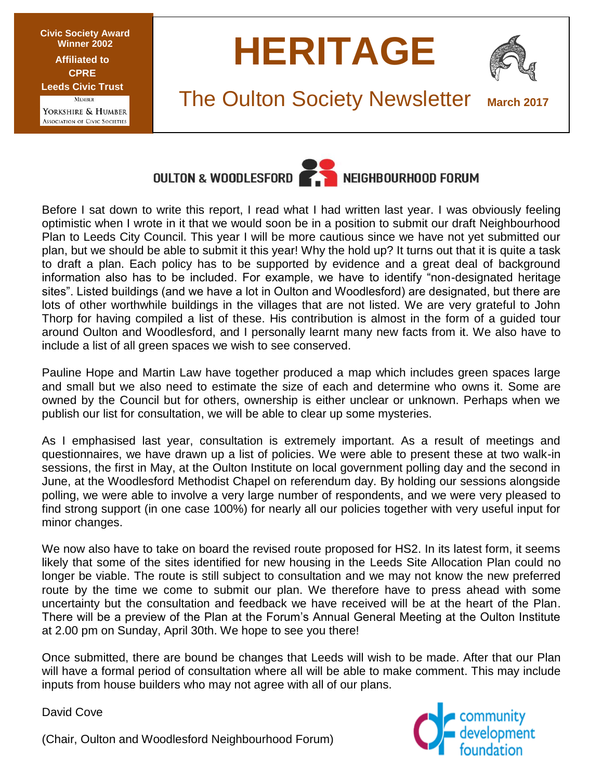**Civic Society Award Winner 2002 Affiliated to CPRE Leeds Civic Trust MEMBER** 

YORKSHIRE & HUMBER **ASSOCIATION OF CIVIC SOCIETIES** 





# **The Oulton Society Newsletter**



Before I sat down to write this report, I read what I had written last year. I was obviously feeling optimistic when I wrote in it that we would soon be in a position to submit our draft Neighbourhood Plan to Leeds City Council. This year I will be more cautious since we have not yet submitted our plan, but we should be able to submit it this year! Why the hold up? It turns out that it is quite a task to draft a plan. Each policy has to be supported by evidence and a great deal of background information also has to be included. For example, we have to identify "non-designated heritage sites". Listed buildings (and we have a lot in Oulton and Woodlesford) are designated, but there are lots of other worthwhile buildings in the villages that are not listed. We are very grateful to John Thorp for having compiled a list of these. His contribution is almost in the form of a guided tour around Oulton and Woodlesford, and I personally learnt many new facts from it. We also have to include a list of all green spaces we wish to see conserved.

Pauline Hope and Martin Law have together produced a map which includes green spaces large and small but we also need to estimate the size of each and determine who owns it. Some are owned by the Council but for others, ownership is either unclear or unknown. Perhaps when we publish our list for consultation, we will be able to clear up some mysteries.

As I emphasised last year, consultation is extremely important. As a result of meetings and questionnaires, we have drawn up a list of policies. We were able to present these at two walk-in sessions, the first in May, at the Oulton Institute on local government polling day and the second in June, at the Woodlesford Methodist Chapel on referendum day. By holding our sessions alongside polling, we were able to involve a very large number of respondents, and we were very pleased to find strong support (in one case 100%) for nearly all our policies together with very useful input for minor changes.

We now also have to take on board the revised route proposed for HS2. In its latest form, it seems likely that some of the sites identified for new housing in the Leeds Site Allocation Plan could no longer be viable. The route is still subject to consultation and we may not know the new preferred route by the time we come to submit our plan. We therefore have to press ahead with some uncertainty but the consultation and feedback we have received will be at the heart of the Plan. There will be a preview of the Plan at the Forum's Annual General Meeting at the Oulton Institute at 2.00 pm on Sunday, April 30th. We hope to see you there!

Once submitted, there are bound be changes that Leeds will wish to be made. After that our Plan will have a formal period of consultation where all will be able to make comment. This may include inputs from house builders who may not agree with all of our plans.

David Cove

(Chair, Oulton and Woodlesford Neighbourhood Forum)

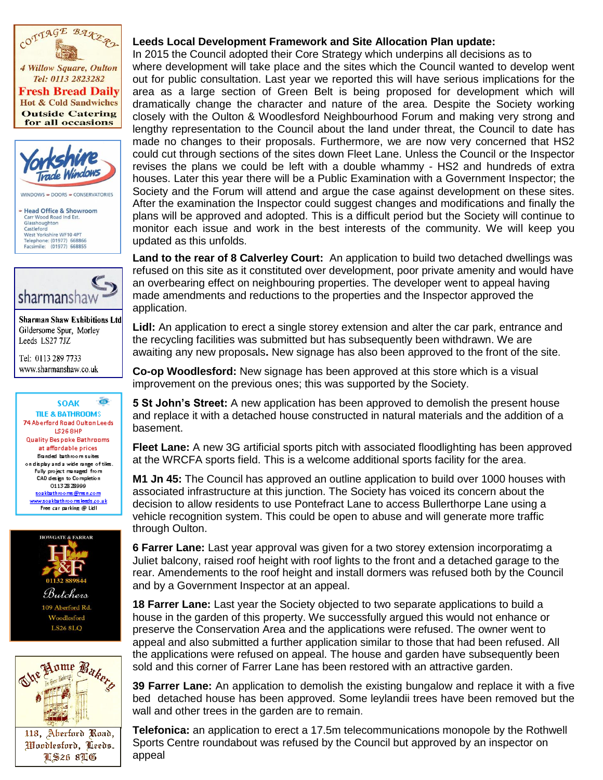

**Fresh Bread Daily Hot & Cold Sandwiches Outside Catering** for all occasions



WINDOWS - DOORS - CONSERVATORIES

- Head Office & Showroom Carr Wood Road Ind Est. Glasshoughton Castleford<br>
West Yorkshire WF10 4PT Telephone: (01977) 668866<br>Facsimile: (01977) 668855



**Sharman Shaw Exhibitions Ltd** Gildersome Spur, Morley Leeds LS27 7JZ

Tel: 0113 289 7733 www.sharmanshaw.co.uk

ö **SOAK** TILE & BATHROOMS 74 Aberford Road Oulton Leeds **LS268HP Quality Bespoke Bathrooms** at affordable prices Branded bathroom suites on display and a wide range of tiles. Fully project managed from CAD design to Completion 01132828999 seakbathree ms@msn.com www.soakbathroomsleeds.co.uk Free car carking @ Lidl





# **PLANNING Leeds Local Development Framework and Site Allocation Plan update:**

In 2015 the Council adopted their Core Strategy which underpins all decisions as to where development will take place and the sites which the Council wanted to develop went out for public consultation. Last year we reported this will have serious implications for the area as a large section of Green Belt is being proposed for development which will dramatically change the character and nature of the area. Despite the Society working closely with the Oulton & Woodlesford Neighbourhood Forum and making very strong and lengthy representation to the Council about the land under threat, the Council to date has made no changes to their proposals. Furthermore, we are now very concerned that HS2 could cut through sections of the sites down Fleet Lane. Unless the Council or the Inspector revises the plans we could be left with a double whammy - HS2 and hundreds of extra houses. Later this year there will be a Public Examination with a Government Inspector; the Society and the Forum will attend and argue the case against development on these sites. After the examination the Inspector could suggest changes and modifications and finally the plans will be approved and adopted. This is a difficult period but the Society will continue to monitor each issue and work in the best interests of the community. We will keep you updated as this unfolds.

**Land to the rear of 8 Calverley Court:** An application to build two detached dwellings was refused on this site as it constituted over development, poor private amenity and would have an overbearing effect on neighbouring properties. The developer went to appeal having made amendments and reductions to the properties and the Inspector approved the application.

**Lidl:** An application to erect a single storey extension and alter the car park, entrance and the recycling facilities was submitted but has subsequently been withdrawn. We are awaiting any new proposals**.** New signage has also been approved to the front of the site.

**Co-op Woodlesford:** New signage has been approved at this store which is a visual improvement on the previous ones; this was supported by the Society.

**5 St John's Street:** A new application has been approved to demolish the present house and replace it with a detached house constructed in natural materials and the addition of a basement.

**Fleet Lane:** A new 3G artificial sports pitch with associated floodlighting has been approved at the WRCFA sports field. This is a welcome additional sports facility for the area.

**M1 Jn 45:** The Council has approved an outline application to build over 1000 houses with associated infrastructure at this junction. The Society has voiced its concern about the decision to allow residents to use Pontefract Lane to access Bullerthorpe Lane using a vehicle recognition system. This could be open to abuse and will generate more traffic through Oulton.

**6 Farrer Lane:** Last year approval was given for a two storey extension incorporatimg a Juliet balcony, raised roof height with roof lights to the front and a detached garage to the rear. Amendements to the roof height and install dormers was refused both by the Council and by a Government Inspector at an appeal.

**18 Farrer Lane:** Last year the Society objected to two separate applications to build a house in the garden of this property. We successfully argued this would not enhance or preserve the Conservation Area and the applications were refused. The owner went to appeal and also submitted a further application similar to those that had been refused. All the applications were refused on appeal. The house and garden have subsequently been sold and this corner of Farrer Lane has been restored with an attractive garden.

**39 Farrer Lane:** An application to demolish the existing bungalow and replace it with a five bed detached house has been approved. Some leylandii trees have been removed but the wall and other trees in the garden are to remain.

**Telefonica:** an application to erect a 17.5m telecommunications monopole by the Rothwell Sports Centre roundabout was refused by the Council but approved by an inspector on appeal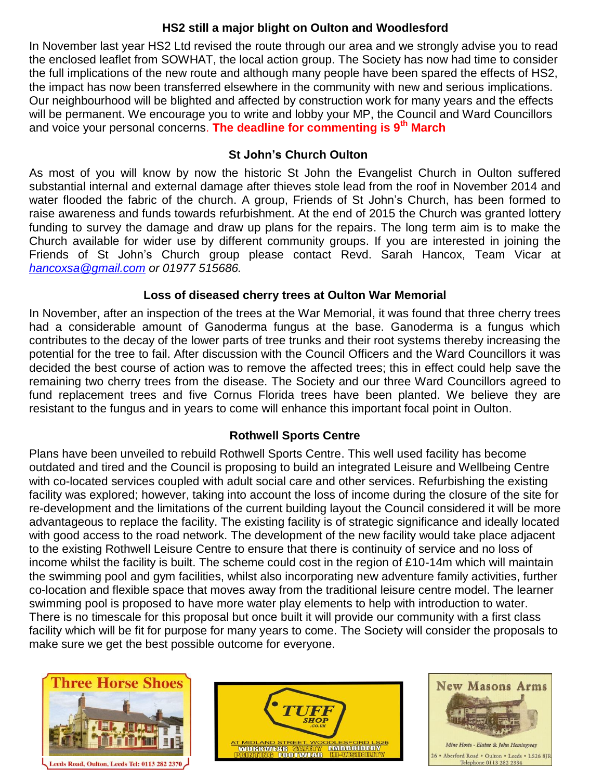## **HS2 still a major blight on Oulton and Woodlesford**

In November last year HS2 Ltd revised the route through our area and we strongly advise you to read the enclosed leaflet from SOWHAT, the local action group. The Society has now had time to consider the full implications of the new route and although many people have been spared the effects of HS2, the impact has now been transferred elsewhere in the community with new and serious implications. Our neighbourhood will be blighted and affected by construction work for many years and the effects will be permanent. We encourage you to write and lobby your MP, the Council and Ward Councillors and voice your personal concerns. **The deadline for commenting is 9th March**

### **St John's Church Oulton**

As most of you will know by now the historic St John the Evangelist Church in Oulton suffered substantial internal and external damage after thieves stole lead from the roof in November 2014 and water flooded the fabric of the church. A group, Friends of St John's Church, has been formed to raise awareness and funds towards refurbishment. At the end of 2015 the Church was granted lottery funding to survey the damage and draw up plans for the repairs. The long term aim is to make the Church available for wider use by different community groups. If you are interested in joining the Friends of St John's Church group please contact Revd. Sarah Hancox, Team Vicar at *[hancoxsa@gmail.com](mailto:hancoxsa@gmail.com) or 01977 515686.*

## **Loss of diseased cherry trees at Oulton War Memorial**

In November, after an inspection of the trees at the War Memorial, it was found that three cherry trees had a considerable amount of Ganoderma fungus at the base. Ganoderma is a fungus which contributes to the decay of the lower parts of tree trunks and their root systems thereby increasing the potential for the tree to fail. After discussion with the Council Officers and the Ward Councillors it was decided the best course of action was to remove the affected trees; this in effect could help save the remaining two cherry trees from the disease. The Society and our three Ward Councillors agreed to fund replacement trees and five Cornus Florida trees have been planted. We believe they are resistant to the fungus and in years to come will enhance this important focal point in Oulton.

# **Rothwell Sports Centre**

Plans have been unveiled to rebuild Rothwell Sports Centre. This well used facility has become outdated and tired and the Council is proposing to build an integrated Leisure and Wellbeing Centre with co-located services coupled with adult social care and other services. Refurbishing the existing facility was explored; however, taking into account the loss of income during the closure of the site for re-development and the limitations of the current building layout the Council considered it will be more advantageous to replace the facility. The existing facility is of strategic significance and ideally located with good access to the road network. The development of the new facility would take place adjacent to the existing Rothwell Leisure Centre to ensure that there is continuity of service and no loss of income whilst the facility is built. The scheme could cost in the region of £10-14m which will maintain the swimming pool and gym facilities, whilst also incorporating new adventure family activities, further co-location and flexible space that moves away from the traditional leisure centre model. The learner swimming pool is proposed to have more water play elements to help with introduction to water. There is no timescale for this proposal but once built it will provide our community with a first class facility which will be fit for purpose for many years to come. The Society will consider the proposals to make sure we get the best possible outcome for everyone.